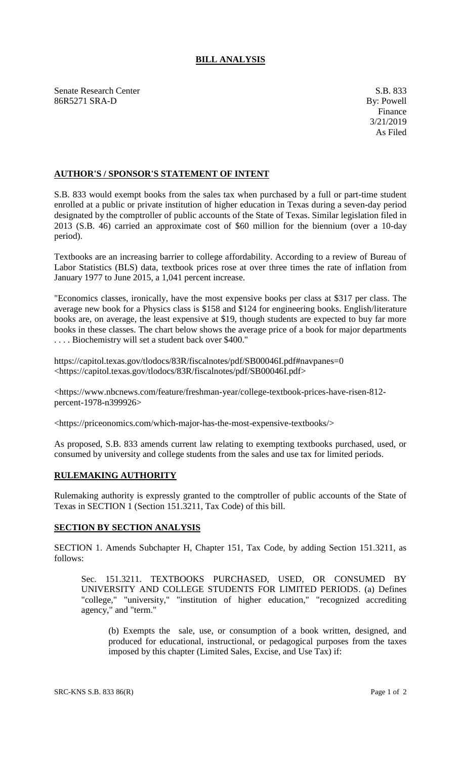## **BILL ANALYSIS**

Senate Research Center S.B. 833 86R5271 SRA-D By: Powell

## **AUTHOR'S / SPONSOR'S STATEMENT OF INTENT**

S.B. 833 would exempt books from the sales tax when purchased by a full or part-time student enrolled at a public or private institution of higher education in Texas during a seven-day period designated by the comptroller of public accounts of the State of Texas. Similar legislation filed in 2013 (S.B. 46) carried an approximate cost of \$60 million for the biennium (over a 10-day period).

Textbooks are an increasing barrier to college affordability. According to a review of Bureau of Labor Statistics (BLS) data, textbook prices rose at over three times the rate of inflation from January 1977 to June 2015, a 1,041 percent increase.

"Economics classes, ironically, have the most expensive books per class at \$317 per class. The average new book for a Physics class is \$158 and \$124 for engineering books. English/literature books are, on average, the least expensive at \$19, though students are expected to buy far more books in these classes. The chart below shows the average price of a book for major departments . . . . Biochemistry will set a student back over \$400."

https://capitol.texas.gov/tlodocs/83R/fiscalnotes/pdf/SB00046I.pdf#navpanes=0 <https://capitol.texas.gov/tlodocs/83R/fiscalnotes/pdf/SB00046I.pdf>

<https://www.nbcnews.com/feature/freshman-year/college-textbook-prices-have-risen-812 percent-1978-n399926>

<https://priceonomics.com/which-major-has-the-most-expensive-textbooks/>

As proposed, S.B. 833 amends current law relating to exempting textbooks purchased, used, or consumed by university and college students from the sales and use tax for limited periods.

## **RULEMAKING AUTHORITY**

Rulemaking authority is expressly granted to the comptroller of public accounts of the State of Texas in SECTION 1 (Section 151.3211, Tax Code) of this bill.

## **SECTION BY SECTION ANALYSIS**

SECTION 1. Amends Subchapter H, Chapter 151, Tax Code, by adding Section 151.3211, as follows:

Sec. 151.3211. TEXTBOOKS PURCHASED, USED, OR CONSUMED BY UNIVERSITY AND COLLEGE STUDENTS FOR LIMITED PERIODS. (a) Defines "college," "university," "institution of higher education," "recognized accrediting agency," and "term."

(b) Exempts the sale, use, or consumption of a book written, designed, and produced for educational, instructional, or pedagogical purposes from the taxes imposed by this chapter (Limited Sales, Excise, and Use Tax) if: